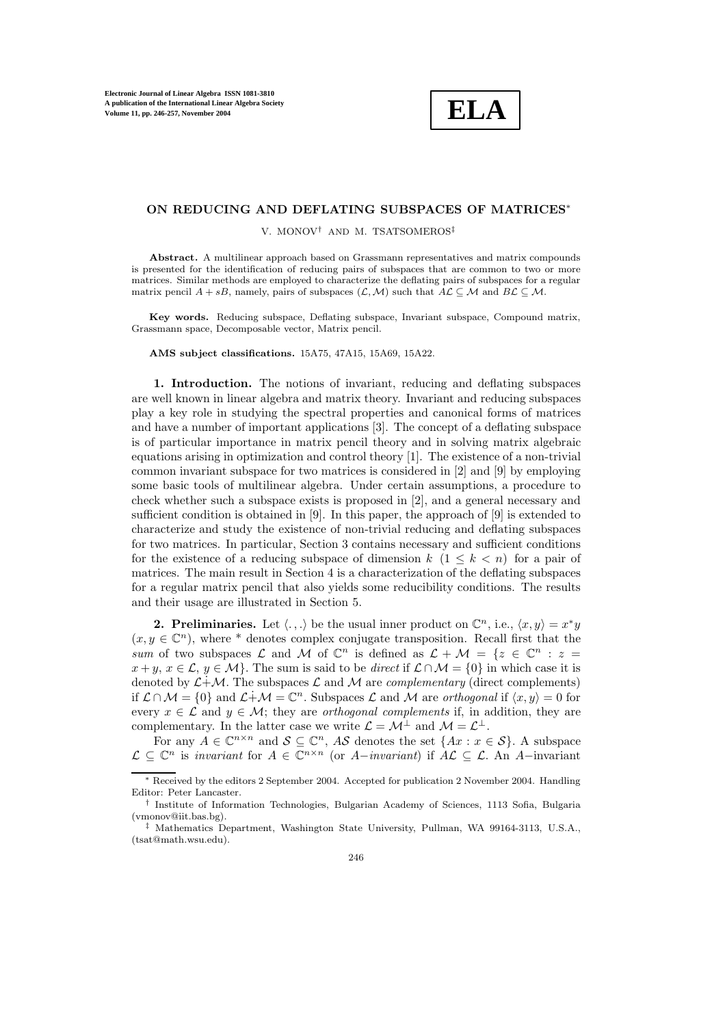**ELA**

## **ON REDUCING AND DEFLATING SUBSPACES OF MATRICES**∗

V. MONOV† AND M. TSATSOMEROS‡

**Abstract.** A multilinear approach based on Grassmann representatives and matrix compounds is presented for the identification of reducing pairs of subspaces that are common to two or more matrices. Similar methods are employed to characterize the deflating pairs of subspaces for a regular matrix pencil  $A + sB$ , namely, pairs of subspaces  $(\mathcal{L}, \mathcal{M})$  such that  $A\mathcal{L} \subseteq \mathcal{M}$  and  $B\mathcal{L} \subseteq \mathcal{M}$ .

Key words. Reducing subspace, Deflating subspace, Invariant subspace, Compound matrix, Grassmann space, Decomposable vector, Matrix pencil.

**AMS subject classifications.** 15A75, 47A15, 15A69, 15A22.

**1. Introduction.** The notions of invariant, reducing and deflating subspaces are well known in linear algebra and matrix theory. Invariant and reducing subspaces play a key role in studying the spectral properties and canonical forms of matrices and have a number of important applications [3]. The concept of a deflating subspace is of particular importance in matrix pencil theory and in solving matrix algebraic equations arising in optimization and control theory [1]. The existence of a non-trivial common invariant subspace for two matrices is considered in [2] and [9] by employing some basic tools of multilinear algebra. Under certain assumptions, a procedure to check whether such a subspace exists is proposed in [2], and a general necessary and sufficient condition is obtained in [9]. In this paper, the approach of [9] is extended to characterize and study the existence of non-trivial reducing and deflating subspaces for two matrices. In particular, Section 3 contains necessary and sufficient conditions for the existence of a reducing subspace of dimension k  $(1 \leq k < n)$  for a pair of matrices. The main result in Section 4 is a characterization of the deflating subspaces for a regular matrix pencil that also yields some reducibility conditions. The results and their usage are illustrated in Section 5.

**2. Preliminaries.** Let  $\langle \ldots \rangle$  be the usual inner product on  $\mathbb{C}^n$ , i.e.,  $\langle x, y \rangle = x^*y$  $(x, y \in \mathbb{C}^n)$ , where \* denotes complex conjugate transposition. Recall first that the sum of two subspaces  $\mathcal L$  and  $\mathcal M$  of  $\mathbb C^n$  is defined as  $\mathcal L + \mathcal M = \{z \in \mathbb C^n : z =$  $x + y$ ,  $x \in \mathcal{L}$ ,  $y \in \mathcal{M}$ . The sum is said to be *direct* if  $\mathcal{L} \cap \mathcal{M} = \{0\}$  in which case it is denoted by  $\mathcal{L}+\mathcal{M}$ . The subspaces  $\mathcal{L}$  and  $\mathcal{M}$  are *complementary* (direct complements) if  $\mathcal{L} \cap \mathcal{M} = \{0\}$  and  $\mathcal{L} \dot{+} \mathcal{M} = \mathbb{C}^n$ . Subspaces  $\mathcal{L}$  and  $\mathcal{M}$  are *orthogonal* if  $\langle x, y \rangle = 0$  for every  $x \in \mathcal{L}$  and  $y \in \mathcal{M}$ ; they are *orthogonal complements* if, in addition, they are complementary. In the latter case we write  $\mathcal{L} = \mathcal{M}^{\perp}$  and  $\mathcal{M} = \mathcal{L}^{\perp}$ .

For any  $A \in \mathbb{C}^{n \times n}$  and  $S \subseteq \mathbb{C}^n$ , AS denotes the set  $\{Ax : x \in S\}$ . A subspace  $\mathcal{L} \subset \mathbb{C}^n$  is invariant for  $A \in \mathbb{C}^{n \times n}$  (or  $A-invariant$ ) if  $\mathcal{AL} \subset \mathcal{L}$ . An  $A-invariant$ 

<sup>∗</sup> Received by the editors 2 September 2004. Accepted for publication 2 November 2004. Handling Editor: Peter Lancaster.

<sup>†</sup> Institute of Information Technologies, Bulgarian Academy of Sciences, 1113 Sofia, Bulgaria (vmonov@iit.bas.bg).

<sup>‡</sup> Mathematics Department, Washington State University, Pullman, WA 99164-3113, U.S.A., (tsat@math.wsu.edu).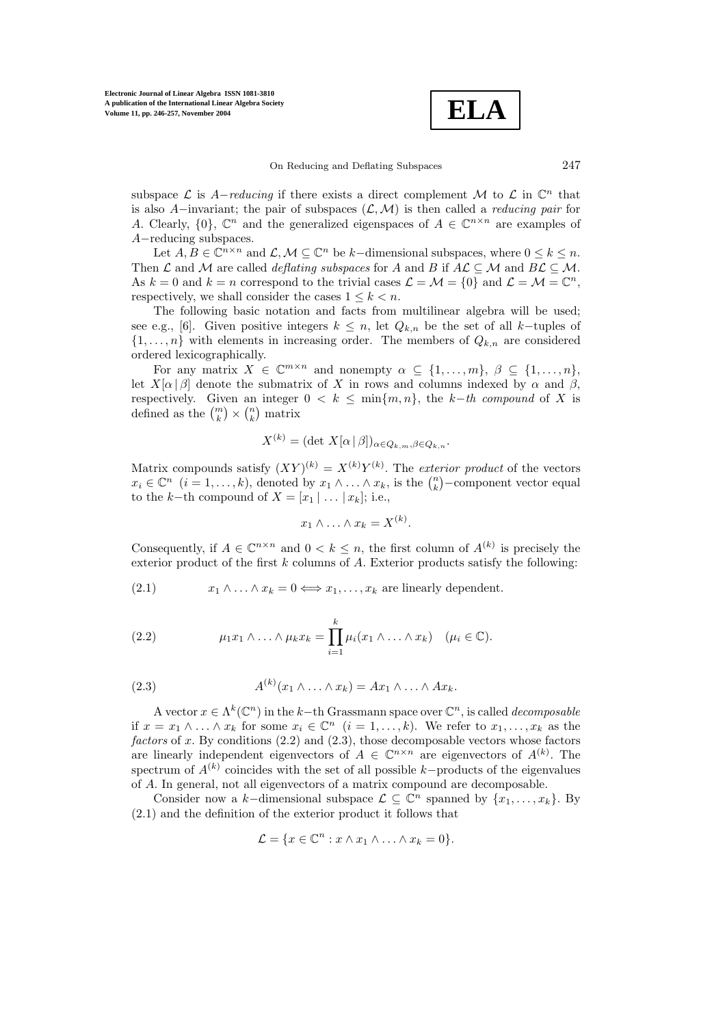

On Reducing and Deflating Subspaces 247

subspace  $\mathcal L$  is A-reducing if there exists a direct complement M to  $\mathcal L$  in  $\mathbb C^n$  that is also A–invariant; the pair of subspaces  $(L, M)$  is then called a *reducing pair* for A. Clearly,  $\{0\}$ ,  $\mathbb{C}^n$  and the generalized eigenspaces of  $A \in \mathbb{C}^{n \times n}$  are examples of A−reducing subspaces.

Let  $A, B \in \mathbb{C}^{n \times n}$  and  $\mathcal{L}, \mathcal{M} \subseteq \mathbb{C}^n$  be k-dimensional subspaces, where  $0 \leq k \leq n$ . Then  $\mathcal L$  and  $\mathcal M$  are called *deflating subspaces* for A and B if  $A\mathcal L\subset\mathcal M$  and  $B\mathcal L\subset\mathcal M$ . As  $k = 0$  and  $k = n$  correspond to the trivial cases  $\mathcal{L} = \mathcal{M} = \{0\}$  and  $\mathcal{L} = \mathcal{M} = \mathbb{C}^n$ , respectively, we shall consider the cases  $1 \leq k < n$ .

The following basic notation and facts from multilinear algebra will be used; see e.g., [6]. Given positive integers  $k \leq n$ , let  $Q_{k,n}$  be the set of all k-tuples of  $\{1,\ldots,n\}$  with elements in increasing order. The members of  $Q_{k,n}$  are considered ordered lexicographically.

For any matrix  $X \in \mathbb{C}^{m \times n}$  and nonempty  $\alpha \subseteq \{1,\ldots,m\}, \beta \subseteq \{1,\ldots,n\},\$ let  $X[\alpha|\beta]$  denote the submatrix of X in rows and columns indexed by  $\alpha$  and  $\beta$ , respectively. Given an integer  $0 < k \leq \min\{m, n\}$ , the k-th compound of X is defined as the  $\binom{m}{k} \times \binom{n}{k}$  matrix

$$
X^{(k)} = (\det X[\alpha | \beta])_{\alpha \in Q_{k,m}, \beta \in Q_{k,n}}.
$$

Matrix compounds satisfy  $(XY)^{(k)} = X^{(k)}Y^{(k)}$ . The exterior product of the vectors  $x_i \in \mathbb{C}^n$   $(i = 1, \ldots, k)$ , denoted by  $x_1 \wedge \ldots \wedge x_k$ , is the  $\binom{n}{k}$ -component vector equal to the k−th compound of  $X = [x_1 | \dots | x_k];$  i.e.,

$$
x_1 \wedge \ldots \wedge x_k = X^{(k)}.
$$

Consequently, if  $A \in \mathbb{C}^{n \times n}$  and  $0 \lt k \leq n$ , the first column of  $A^{(k)}$  is precisely the exterior product of the first  $k$  columns of  $A$ . Exterior products satisfy the following:

(2.1) 
$$
x_1 \wedge \ldots \wedge x_k = 0 \Longleftrightarrow x_1, \ldots, x_k
$$
 are linearly dependent.

(2.2) 
$$
\mu_1 x_1 \wedge \ldots \wedge \mu_k x_k = \prod_{i=1}^k \mu_i (x_1 \wedge \ldots \wedge x_k) \quad (\mu_i \in \mathbb{C}).
$$

(2.3) 
$$
A^{(k)}(x_1 \wedge \ldots \wedge x_k) = Ax_1 \wedge \ldots \wedge Ax_k.
$$

A vector  $x \in \Lambda^k(\mathbb{C}^n)$  in the k-th Grassmann space over  $\mathbb{C}^n$ , is called *decomposable* if  $x = x_1 \wedge \ldots \wedge x_k$  for some  $x_i \in \mathbb{C}^n$   $(i = 1, \ldots, k)$ . We refer to  $x_1, \ldots, x_k$  as the factors of x. By conditions  $(2.2)$  and  $(2.3)$ , those decomposable vectors whose factors are linearly independent eigenvectors of  $A \in \mathbb{C}^{n \times n}$  are eigenvectors of  $A^{(k)}$ . The spectrum of  $A^{(k)}$  coincides with the set of all possible k−products of the eigenvalues of A. In general, not all eigenvectors of a matrix compound are decomposable.

Consider now a k–dimensional subspace  $\mathcal{L} \subseteq \mathbb{C}^n$  spanned by  $\{x_1, \ldots, x_k\}$ . By (2.1) and the definition of the exterior product it follows that

$$
\mathcal{L} = \{x \in \mathbb{C}^n : x \wedge x_1 \wedge \ldots \wedge x_k = 0\}.
$$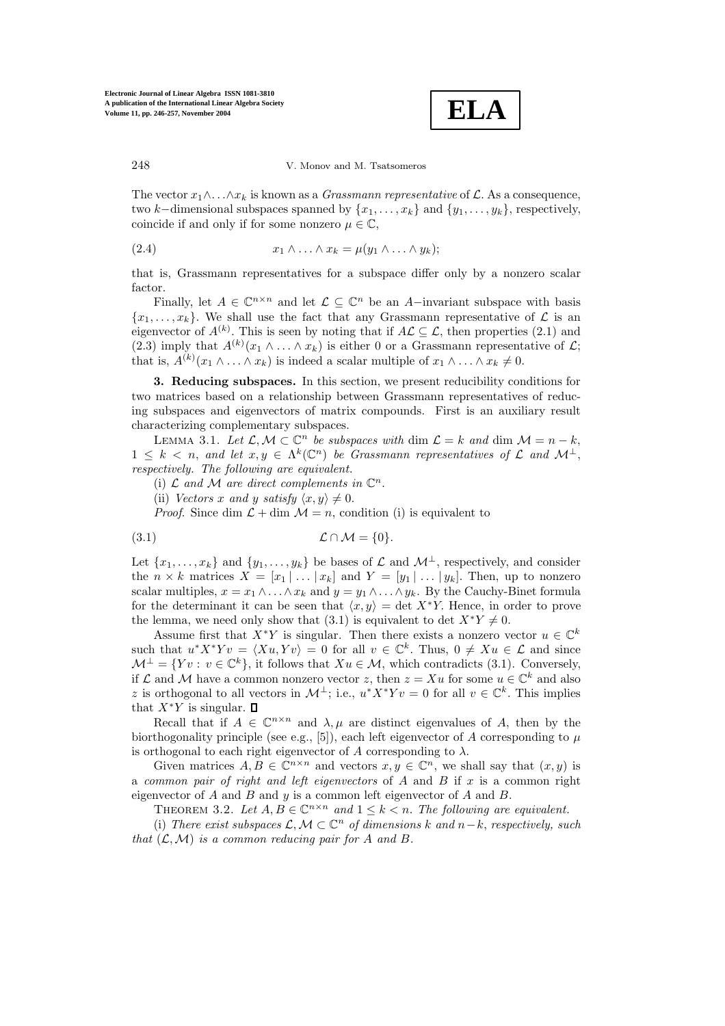

The vector  $x_1 \wedge \ldots \wedge x_k$  is known as a *Grassmann representative* of  $\mathcal L$ . As a consequence, two k–dimensional subspaces spanned by  $\{x_1,\ldots,x_k\}$  and  $\{y_1,\ldots,y_k\}$ , respectively, coincide if and only if for some nonzero  $\mu \in \mathbb{C}$ ,

$$
(2.4) \t\t x_1 \wedge \ldots \wedge x_k = \mu(y_1 \wedge \ldots \wedge y_k);
$$

that is, Grassmann representatives for a subspace differ only by a nonzero scalar factor.

Finally, let  $A \in \mathbb{C}^{n \times n}$  and let  $\mathcal{L} \subseteq \mathbb{C}^n$  be an A-invariant subspace with basis  ${x_1, \ldots, x_k}$ . We shall use the fact that any Grassmann representative of  $\mathcal L$  is an eigenvector of  $A^{(k)}$ . This is seen by noting that if  $A\mathcal{L}\subseteq\mathcal{L}$ , then properties (2.1) and (2.3) imply that  $A^{(k)}(x_1 \wedge \ldots \wedge x_k)$  is either 0 or a Grassmann representative of  $\mathcal{L};$ that is,  $A^{(k)}(x_1 \wedge \ldots \wedge x_k)$  is indeed a scalar multiple of  $x_1 \wedge \ldots \wedge x_k \neq 0$ .

**3. Reducing subspaces.** In this section, we present reducibility conditions for two matrices based on a relationship between Grassmann representatives of reducing subspaces and eigenvectors of matrix compounds. First is an auxiliary result characterizing complementary subspaces.

LEMMA 3.1. Let  $\mathcal{L}, \mathcal{M} \subset \mathbb{C}^n$  be subspaces with dim  $\mathcal{L} = k$  and dim  $\mathcal{M} = n - k$ ,  $1 \leq k \leq n$ , and let  $x, y \in \Lambda^k(\mathbb{C}^n)$  be Grassmann representatives of  $\mathcal L$  and  $\mathcal M^{\perp}$ . respectively. The following are equivalent.

(i)  $\mathcal L$  and  $\mathcal M$  are direct complements in  $\mathbb C^n$ .

(ii) Vectors x and y satisfy  $\langle x, y \rangle \neq 0$ .

*Proof.* Since dim  $\mathcal{L} + \dim \mathcal{M} = n$ , condition (i) is equivalent to

$$
(3.1) \t\t \mathcal{L} \cap \mathcal{M} = \{0\}.
$$

Let  $\{x_1,\ldots,x_k\}$  and  $\{y_1,\ldots,y_k\}$  be bases of  $\mathcal L$  and  $\mathcal M^{\perp}$ , respectively, and consider the  $n \times k$  matrices  $X = [x_1 | \dots | x_k]$  and  $Y = [y_1 | \dots | y_k]$ . Then, up to nonzero scalar multiples,  $x = x_1 \wedge \ldots \wedge x_k$  and  $y = y_1 \wedge \ldots \wedge y_k$ . By the Cauchy-Binet formula for the determinant it can be seen that  $\langle x, y \rangle = \det X^*Y$ . Hence, in order to prove the lemma, we need only show that (3.1) is equivalent to det  $X^*Y \neq 0$ .

Assume first that  $X^*Y$  is singular. Then there exists a nonzero vector  $u \in \mathbb{C}^k$ such that  $u^*X^*Yv = \langle Xu, Yv \rangle = 0$  for all  $v \in \mathbb{C}^k$ . Thus,  $0 \neq Xu \in \mathcal{L}$  and since  $\mathcal{M}^{\perp} = \{ Yv : v \in \mathbb{C}^k \},$  it follows that  $Xu \in \mathcal{M}$ , which contradicts (3.1). Conversely, if  $\mathcal L$  and  $\mathcal M$  have a common nonzero vector z, then  $z = Xu$  for some  $u \in \mathbb C^k$  and also z is orthogonal to all vectors in  $\mathcal{M}^{\perp}$ ; i.e.,  $u^* X^* Y v = 0$  for all  $v \in \mathbb{C}^k$ . This implies that  $X^*Y$  is singular.  $\square$ 

Recall that if  $A \in \mathbb{C}^{n \times n}$  and  $\lambda, \mu$  are distinct eigenvalues of A, then by the biorthogonality principle (see e.g., [5]), each left eigenvector of A corresponding to  $\mu$ is orthogonal to each right eigenvector of A corresponding to  $\lambda$ .

Given matrices  $A, B \in \mathbb{C}^{n \times n}$  and vectors  $x, y \in \mathbb{C}^n$ , we shall say that  $(x, y)$  is a common pair of right and left eigenvectors of  $A$  and  $B$  if  $x$  is a common right eigenvector of  $A$  and  $B$  and  $y$  is a common left eigenvector of  $A$  and  $B$ .

THEOREM 3.2. Let  $A, B \in \mathbb{C}^{n \times n}$  and  $1 \leq k \leq n$ . The following are equivalent.

(i) There exist subspaces  $\mathcal{L}, \mathcal{M} \subset \mathbb{C}^n$  of dimensions k and  $n-k$ , respectively, such that  $(\mathcal{L}, \mathcal{M})$  is a common reducing pair for A and B.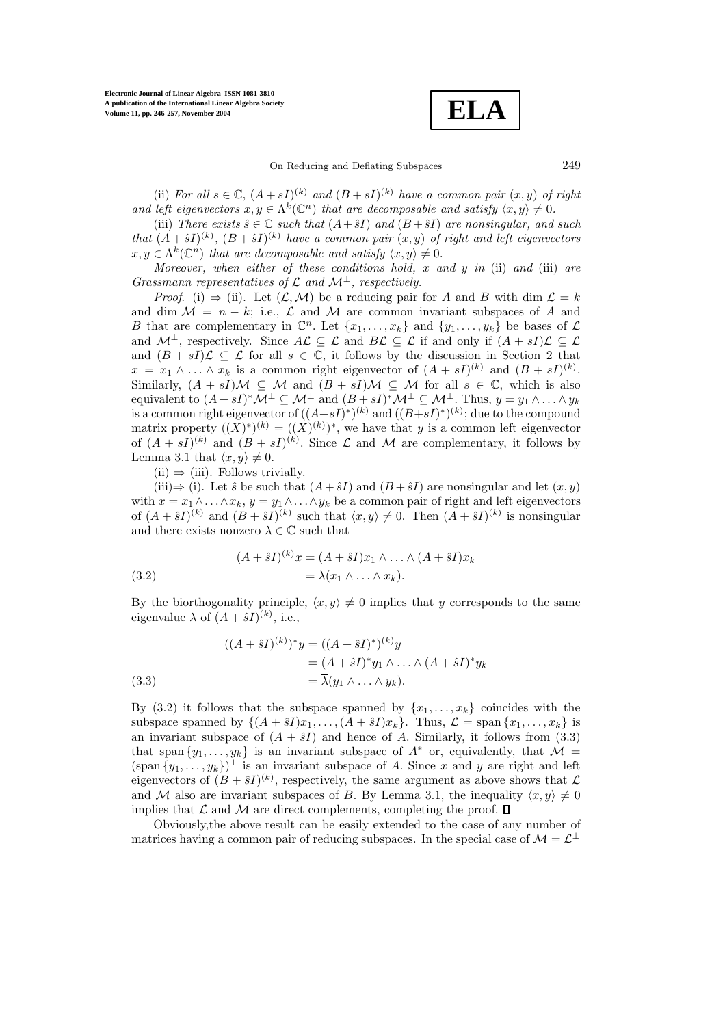**ELA**

On Reducing and Deflating Subspaces 249

(ii) For all  $s \in \mathbb{C}$ ,  $(A + sI)^{(k)}$  and  $(B + sI)^{(k)}$  have a common pair  $(x, y)$  of right and left eigenvectors  $x, y \in \Lambda^k(\mathbb{C}^n)$  that are decomposable and satisfy  $\langle x, y \rangle \neq 0$ .

(iii) There exists  $\hat{s} \in \mathbb{C}$  such that  $(A + \hat{s}I)$  and  $(B + \hat{s}I)$  are nonsingular, and such that  $(A + \hat{s}I)^{(k)}$ ,  $(B + \hat{s}I)^{(k)}$  have a common pair  $(x, y)$  of right and left eigenvectors  $x, y \in \Lambda^k(\mathbb{C}^n)$  that are decomposable and satisfy  $\langle x, y \rangle \neq 0$ .

Moreover, when either of these conditions hold,  $x$  and  $y$  in (ii) and (iii) are Grassmann representatives of  $\mathcal L$  and  $\mathcal M^{\perp}$ , respectively.

*Proof.* (i)  $\Rightarrow$  (ii). Let  $(L, M)$  be a reducing pair for A and B with dim  $L = k$ and dim  $\mathcal{M} = n - k$ ; i.e.,  $\mathcal{L}$  and  $\mathcal{M}$  are common invariant subspaces of A and B that are complementary in  $\mathbb{C}^n$ . Let  $\{x_1,\ldots,x_k\}$  and  $\{y_1,\ldots,y_k\}$  be bases of  $\mathcal L$ and  $\mathcal{M}^{\perp}$ , respectively. Since  $A\mathcal{L}\subseteq\mathcal{L}$  and  $B\mathcal{L}\subseteq\mathcal{L}$  if and only if  $(A + sI)\mathcal{L}\subseteq\mathcal{L}$ and  $(B + sI)\mathcal{L} \subseteq \mathcal{L}$  for all  $s \in \mathbb{C}$ , it follows by the discussion in Section 2 that  $x = x_1 \wedge \ldots \wedge x_k$  is a common right eigenvector of  $(A + sI)^{(k)}$  and  $(B + sI)^{(k)}$ . Similarly,  $(A + sI)M \subseteq M$  and  $(B + sI)M \subseteq M$  for all  $s \in \mathbb{C}$ , which is also equivalent to  $(A + sI)^* \mathcal{M}^\perp \subseteq \mathcal{M}^\perp$  and  $(B + sI)^* \mathcal{M}^\perp \subseteq \mathcal{M}^\perp$ . Thus,  $y = y_1 \wedge \ldots \wedge y_k$ is a common right eigenvector of  $((A+sI)^{*})^{(k)}$  and  $((B+sI)^{*})^{(k)}$ ; due to the compound matrix property  $((X^{\cdot})^{\cdot})^{(k)} = ((X^{\cdot})^{(k)})^*$ , we have that y is a common left eigenvector of  $(A + sI)^{(k)}$  and  $(B + sI)^{(k)}$ . Since  $\mathcal L$  and  $\mathcal M$  are complementary, it follows by Lemma 3.1 that  $\langle x, y \rangle \neq 0$ .

 $(ii) \Rightarrow (iii)$ . Follows trivially.

(iii) $\Rightarrow$  (i). Let  $\hat{s}$  be such that  $(A + \hat{s}I)$  and  $(B + \hat{s}I)$  are nonsingular and let  $(x, y)$ with  $x = x_1 \wedge \ldots \wedge x_k$ ,  $y = y_1 \wedge \ldots \wedge y_k$  be a common pair of right and left eigenvectors of  $(A + \hat{s}I)^{(k)}$  and  $(B + \hat{s}I)^{(k)}$  such that  $\langle x, y \rangle \neq 0$ . Then  $(A + \hat{s}I)^{(k)}$  is nonsingular and there exists nonzero  $\lambda\in\mathbb{C}$  such that

(3.2) 
$$
(A + \hat{s}I)^{(k)}x = (A + \hat{s}I)x_1 \wedge \ldots \wedge (A + \hat{s}I)x_k
$$

$$
= \lambda(x_1 \wedge \ldots \wedge x_k).
$$

By the biorthogonality principle,  $\langle x, y \rangle \neq 0$  implies that y corresponds to the same eigenvalue  $\lambda$  of  $(A + \hat{s}I)^{(k)}$ , i.e.,

(3.3)  
\n
$$
((A + \hat{s}I)^{(k)})^* y = ((A + \hat{s}I)^*)^{(k)} y
$$
\n
$$
= (A + \hat{s}I)^* y_1 \wedge \ldots \wedge (A + \hat{s}I)^* y_k
$$
\n
$$
= \overline{\lambda}(y_1 \wedge \ldots \wedge y_k).
$$

By (3.2) it follows that the subspace spanned by  $\{x_1,\ldots,x_k\}$  coincides with the subspace spanned by  $\{(A + \hat{s}I)x_1, \ldots, (A + \hat{s}I)x_k\}$ . Thus,  $\mathcal{L} = \text{span} \{x_1, \ldots, x_k\}$  is an invariant subspace of  $(A + \hat{s}I)$  and hence of A. Similarly, it follows from (3.3) that span  $\{y_1,\ldots,y_k\}$  is an invariant subspace of  $A^*$  or, equivalently, that  $\mathcal{M} =$  $(\text{span } \{y_1, \ldots, y_k\})^{\perp}$  is an invariant subspace of A. Since x and y are right and left eigenvectors of  $(B + \hat{s}I)^{(k)}$ , respectively, the same argument as above shows that  $\mathcal{L}$ and M also are invariant subspaces of B. By Lemma 3.1, the inequality  $\langle x, y \rangle \neq 0$ implies that  $\mathcal L$  and  $\mathcal M$  are direct complements, completing the proof.  $\Box$ 

Obviously,the above result can be easily extended to the case of any number of matrices having a common pair of reducing subspaces. In the special case of  $\mathcal{M} = \mathcal{L}^{\perp}$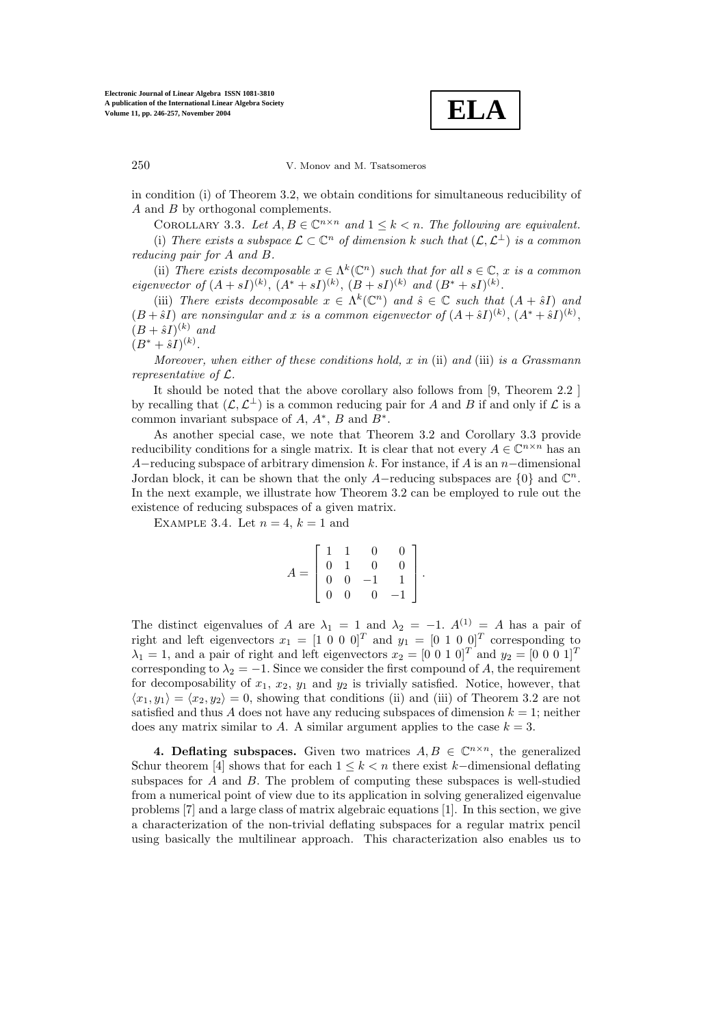**ELA**

in condition (i) of Theorem 3.2, we obtain conditions for simultaneous reducibility of A and B by orthogonal complements.

COROLLARY 3.3. Let  $A, B \in \mathbb{C}^{n \times n}$  and  $1 \leq k \leq n$ . The following are equivalent. (i) There exists a subspace  $\mathcal{L} \subset \mathbb{C}^n$  of dimension k such that  $(\mathcal{L}, \mathcal{L}^{\perp})$  is a common reducing pair for A and B.

(ii) There exists decomposable  $x \in \Lambda^k(\mathbb{C}^n)$  such that for all  $s \in \mathbb{C}$ , x is a common eigenvector of  $(A + sI)^{(k)}$ ,  $(A^* + sI)^{(k)}$ ,  $(B + sI)^{(k)}$  and  $(B^* + sI)^{(k)}$ .

(iii) There exists decomposable  $x \in \Lambda^k(\mathbb{C}^n)$  and  $\hat{s} \in \mathbb{C}$  such that  $(A + \hat{s}I)$  and  $(B + \hat{s}I)$  are nonsingular and x is a common eigenvector of  $(A + \hat{s}I)^{(k)}$ ,  $(A^* + \hat{s}I)^{(k)}$ ,  $(B + \hat{s}I)^{(k)}$  and

 $(B^* + \hat{s}I)^{(k)}$ .

Moreover, when either of these conditions hold, x in (ii) and (iii) is a Grassmann representative of L.

It should be noted that the above corollary also follows from [9, Theorem 2.2 ] by recalling that  $(\mathcal{L}, \mathcal{L}^{\perp})$  is a common reducing pair for A and B if and only if  $\mathcal{L}$  is a common invariant subspace of  $A, A^*, B$  and  $B^*$ .

As another special case, we note that Theorem 3.2 and Corollary 3.3 provide reducibility conditions for a single matrix. It is clear that not every  $A \in \mathbb{C}^{n \times n}$  has an A–reducing subspace of arbitrary dimension k. For instance, if A is an n–dimensional Jordan block, it can be shown that the only A–reducing subspaces are  $\{0\}$  and  $\mathbb{C}^n$ . In the next example, we illustrate how Theorem 3.2 can be employed to rule out the existence of reducing subspaces of a given matrix.

EXAMPLE 3.4. Let  $n = 4$ ,  $k = 1$  and

$$
A = \left[ \begin{array}{rrrr} 1 & 1 & 0 & 0 \\ 0 & 1 & 0 & 0 \\ 0 & 0 & -1 & 1 \\ 0 & 0 & 0 & -1 \end{array} \right].
$$

The distinct eigenvalues of A are  $\lambda_1 = 1$  and  $\lambda_2 = -1$ .  $A^{(1)} = A$  has a pair of right and left eigenvectors  $x_1 = \begin{bmatrix} 1 & 0 & 0 & 0 \end{bmatrix}^T$  and  $y_1 = \begin{bmatrix} 0 & 1 & 0 & 0 \end{bmatrix}^T$  corresponding to  $\lambda_1 = 1$ , and a pair of right and left eigenvectors  $x_2 = \begin{bmatrix} 0 & 0 & 1 & 0 \end{bmatrix}^T$  and  $y_2 = \begin{bmatrix} 0 & 0 & 0 & 1 \end{bmatrix}^T$ corresponding to  $\lambda_2 = -1$ . Since we consider the first compound of A, the requirement for decomposability of  $x_1, x_2, y_1$  and  $y_2$  is trivially satisfied. Notice, however, that  $\langle x_1, y_1 \rangle = \langle x_2, y_2 \rangle = 0$ , showing that conditions (ii) and (iii) of Theorem 3.2 are not satisfied and thus A does not have any reducing subspaces of dimension  $k = 1$ ; neither does any matrix similar to A. A similar argument applies to the case  $k = 3$ .

**4. Deflating subspaces.** Given two matrices  $A, B \in \mathbb{C}^{n \times n}$ , the generalized Schur theorem [4] shows that for each  $1 \leq k < n$  there exist k–dimensional deflating subspaces for A and B. The problem of computing these subspaces is well-studied from a numerical point of view due to its application in solving generalized eigenvalue problems [7] and a large class of matrix algebraic equations [1]. In this section, we give a characterization of the non-trivial deflating subspaces for a regular matrix pencil using basically the multilinear approach. This characterization also enables us to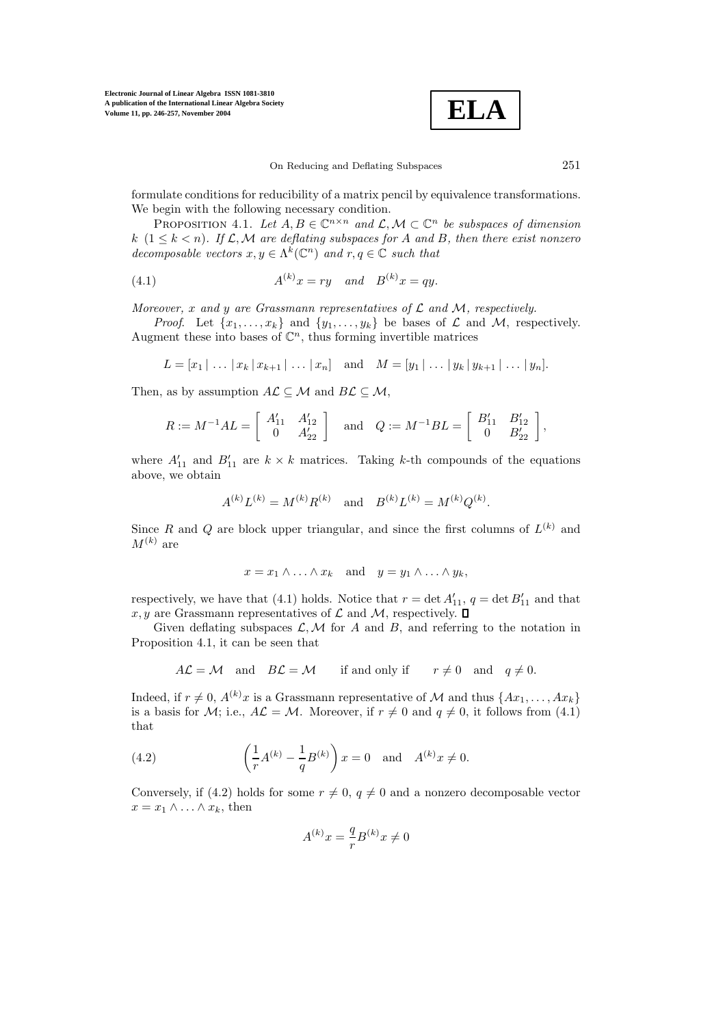**ELA**

formulate conditions for reducibility of a matrix pencil by equivalence transformations. We begin with the following necessary condition.

PROPOSITION 4.1. Let  $A, B \in \mathbb{C}^{n \times n}$  and  $\mathcal{L}, \mathcal{M} \subset \mathbb{C}^n$  be subspaces of dimension k  $(1 \leq k < n)$ . If  $\mathcal{L}, \mathcal{M}$  are deflating subspaces for A and B, then there exist nonzero decomposable vectors  $x, y \in \Lambda^k(\mathbb{C}^n)$  and  $r, q \in \mathbb{C}$  such that

(4.1) 
$$
A^{(k)}x = ry \quad and \quad B^{(k)}x = qy.
$$

Moreover, x and y are Grassmann representatives of  $\mathcal L$  and  $\mathcal M$ , respectively.

*Proof.* Let  $\{x_1,\ldots,x_k\}$  and  $\{y_1,\ldots,y_k\}$  be bases of  $\mathcal L$  and  $\mathcal M$ , respectively. Augment these into bases of  $\mathbb{C}^n$ , thus forming invertible matrices

$$
L = [x_1 | \dots | x_k | x_{k+1} | \dots | x_n] \text{ and } M = [y_1 | \dots | y_k | y_{k+1} | \dots | y_n].
$$

Then, as by assumption  $A\mathcal{L} \subseteq \mathcal{M}$  and  $B\mathcal{L} \subseteq \mathcal{M}$ ,

$$
R := M^{-1}AL = \begin{bmatrix} A'_{11} & A'_{12} \\ 0 & A'_{22} \end{bmatrix} \text{ and } Q := M^{-1}BL = \begin{bmatrix} B'_{11} & B'_{12} \\ 0 & B'_{22} \end{bmatrix},
$$

where  $A'_{11}$  and  $B'_{11}$  are  $k \times k$  matrices. Taking k-th compounds of the equations above, we obtain

$$
A^{(k)}L^{(k)} = M^{(k)}R^{(k)}
$$
 and  $B^{(k)}L^{(k)} = M^{(k)}Q^{(k)}$ .

Since R and Q are block upper triangular, and since the first columns of  $L^{(k)}$  and  $M^{(k)}$  are

$$
x = x_1 \wedge \ldots \wedge x_k \quad \text{and} \quad y = y_1 \wedge \ldots \wedge y_k,
$$

respectively, we have that (4.1) holds. Notice that  $r = \det A'_{11}$ ,  $q = \det B'_{11}$  and that  $x, y$  are Grassmann representatives of  $\mathcal L$  and  $\mathcal M$ , respectively.  $\square$ 

Given deflating subspaces  $\mathcal{L}, \mathcal{M}$  for A and B, and referring to the notation in Proposition 4.1, it can be seen that

$$
A\mathcal{L} = \mathcal{M} \quad \text{and} \quad B\mathcal{L} = \mathcal{M} \qquad \text{if and only if} \qquad r \neq 0 \quad \text{and} \quad q \neq 0.
$$

Indeed, if  $r \neq 0$ ,  $A^{(k)}x$  is a Grassmann representative of M and thus  $\{Ax_1, \ldots, Ax_k\}$ is a basis for M; i.e.,  $A\mathcal{L} = \mathcal{M}$ . Moreover, if  $r \neq 0$  and  $q \neq 0$ , it follows from (4.1) that

(4.2) 
$$
\left(\frac{1}{r}A^{(k)} - \frac{1}{q}B^{(k)}\right)x = 0 \text{ and } A^{(k)}x \neq 0.
$$

Conversely, if (4.2) holds for some  $r \neq 0$ ,  $q \neq 0$  and a nonzero decomposable vector  $x = x_1 \wedge \ldots \wedge x_k$ , then

$$
A^{(k)}x = \frac{q}{r}B^{(k)}x \neq 0
$$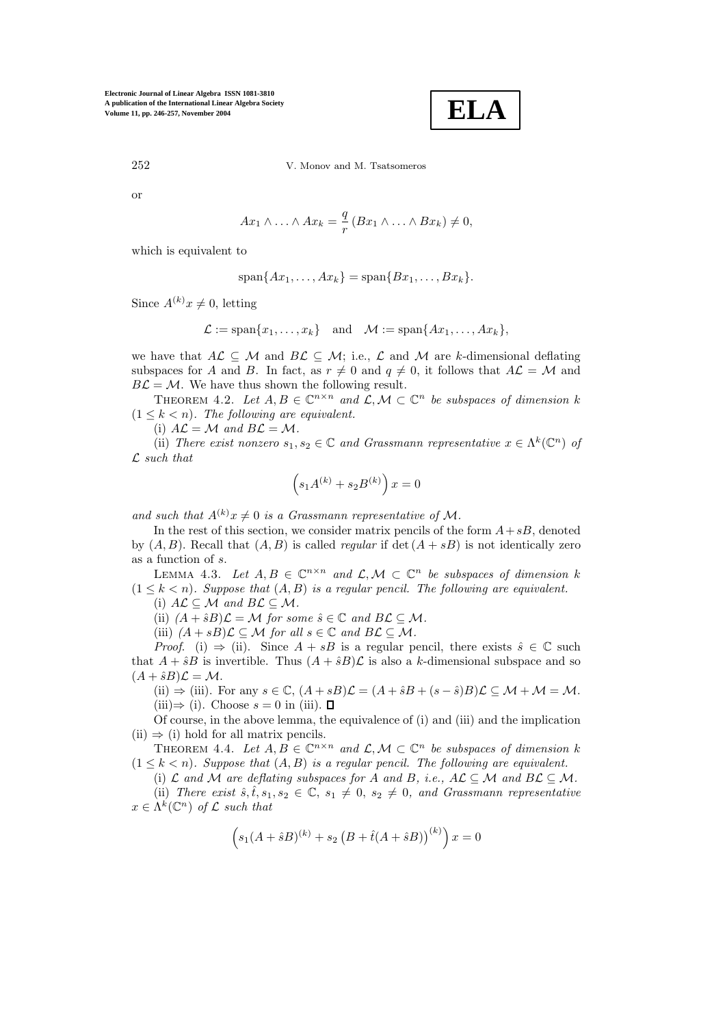

252 V. Monov and M. Tsatsomeros

or

$$
Ax_1 \wedge \ldots \wedge Ax_k = \frac{q}{r} (Bx_1 \wedge \ldots \wedge Bx_k) \neq 0,
$$

which is equivalent to

$$
\mathrm{span}\{Ax_1,\ldots,Ax_k\}=\mathrm{span}\{Bx_1,\ldots,Bx_k\}.
$$

Since  $A^{(k)}x \neq 0$ , letting

$$
\mathcal{L} := \mathrm{span}\{x_1, \ldots, x_k\} \quad \text{and} \quad \mathcal{M} := \mathrm{span}\{Ax_1, \ldots, Ax_k\},\
$$

we have that  $A\mathcal{L} \subseteq \mathcal{M}$  and  $B\mathcal{L} \subseteq \mathcal{M}$ ; i.e.,  $\mathcal{L}$  and  $\mathcal{M}$  are k-dimensional deflating subspaces for A and B. In fact, as  $r \neq 0$  and  $q \neq 0$ , it follows that  $A\mathcal{L} = \mathcal{M}$  and  $B\mathcal{L} = \mathcal{M}$ . We have thus shown the following result.

THEOREM 4.2. Let  $A, B \in \mathbb{C}^{n \times n}$  and  $\mathcal{L}, \mathcal{M} \subset \mathbb{C}^n$  be subspaces of dimension k  $(1 \leq k < n)$ . The following are equivalent.

(i)  $A\mathcal{L} = \mathcal{M}$  and  $B\mathcal{L} = \mathcal{M}$ .

(ii) There exist nonzero  $s_1, s_2 \in \mathbb{C}$  and Grassmann representative  $x \in \Lambda^k(\mathbb{C}^n)$  of  $\mathcal L$  such that

$$
\left( s_1 A^{(k)} + s_2 B^{(k)} \right) x = 0
$$

and such that  $A^{(k)}x \neq 0$  is a Grassmann representative of M.

In the rest of this section, we consider matrix pencils of the form  $A + sB$ , denoted by  $(A, B)$ . Recall that  $(A, B)$  is called *regular* if det  $(A + sB)$  is not identically zero as a function of s.

LEMMA 4.3. Let  $A, B \in \mathbb{C}^{n \times n}$  and  $\mathcal{L}, \mathcal{M} \subset \mathbb{C}^n$  be subspaces of dimension k  $(1 \leq k < n)$ . Suppose that  $(A, B)$  is a regular pencil. The following are equivalent.

(i) 
$$
A\mathcal{L} \subseteq \mathcal{M}
$$
 and  $B\mathcal{L} \subseteq \mathcal{M}$ .

(ii)  $(A + \hat{s}B)\mathcal{L} = \mathcal{M}$  for some  $\hat{s} \in \mathbb{C}$  and  $B\mathcal{L} \subseteq \mathcal{M}$ .

(iii)  $(A + sB)\mathcal{L} \subseteq \mathcal{M}$  for all  $s \in \mathbb{C}$  and  $B\mathcal{L} \subseteq \mathcal{M}$ .

*Proof.* (i)  $\Rightarrow$  (ii). Since  $A + sB$  is a regular pencil, there exists  $\hat{s} \in \mathbb{C}$  such that  $A + \hat{s}B$  is invertible. Thus  $(A + \hat{s}B)\mathcal{L}$  is also a k-dimensional subspace and so  $(A + \hat{s}B)\mathcal{L} = \mathcal{M}.$ 

(ii)  $\Rightarrow$  (iii). For any  $s \in \mathbb{C}$ ,  $(A + sB)\mathcal{L} = (A + \hat{s}B + (s - \hat{s})B)\mathcal{L} \subseteq \mathcal{M} + \mathcal{M} = \mathcal{M}$ . (iii) $\Rightarrow$  (i). Choose  $s = 0$  in (iii).  $\Box$ 

Of course, in the above lemma, the equivalence of (i) and (iii) and the implication  $(ii) \Rightarrow (i)$  hold for all matrix pencils.

THEOREM 4.4. Let  $A, B \in \mathbb{C}^{n \times n}$  and  $\mathcal{L}, \mathcal{M} \subset \mathbb{C}^n$  be subspaces of dimension k  $(1 \leq k < n)$ . Suppose that  $(A, B)$  is a regular pencil. The following are equivalent.

(i)  $\mathcal L$  and  $\mathcal M$  are deflating subspaces for A and B, i.e.,  $A\mathcal L \subseteq \mathcal M$  and  $B\mathcal L \subseteq \mathcal M$ .

(ii) There exist  $\hat{s}, \hat{t}, s_1, s_2 \in \mathbb{C}, s_1 \neq 0, s_2 \neq 0, s_1 d$  Grassmann representative  $x \in \Lambda^k(\mathbb{C}^n)$  of  $\mathcal L$  such that

$$
(s_1(A + \hat{s}B)^{(k)} + s_2 (B + \hat{t}(A + \hat{s}B))^{(k)}) x = 0
$$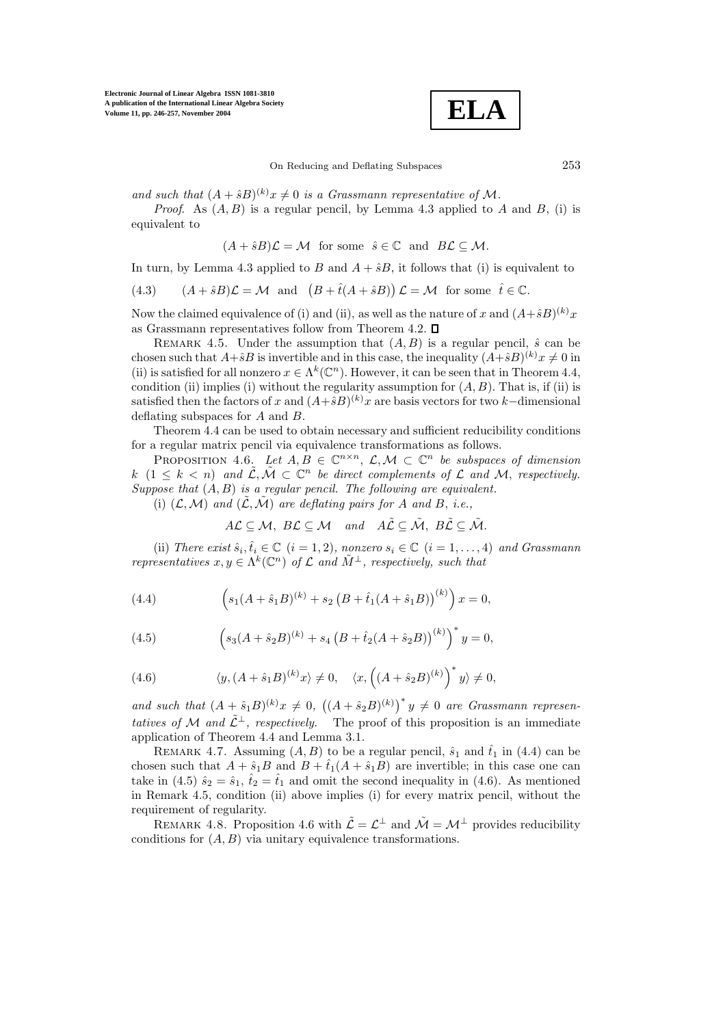

and such that  $(A + \hat{s}B)^{(k)}x \neq 0$  is a Grassmann representative of M.

*Proof.* As  $(A, B)$  is a regular pencil, by Lemma 4.3 applied to A and B, (i) is equivalent to

 $(A + \hat{s}B)\mathcal{L} = \mathcal{M}$  for some  $\hat{s} \in \mathbb{C}$  and  $B\mathcal{L} \subset \mathcal{M}$ .

In turn, by Lemma 4.3 applied to B and  $A + \hat{s}B$ , it follows that (i) is equivalent to

(4.3) 
$$
(A + \hat{s}B)\mathcal{L} = \mathcal{M}
$$
 and  $(B + \hat{t}(A + \hat{s}B))\mathcal{L} = \mathcal{M}$  for some  $\hat{t} \in \mathbb{C}$ .

Now the claimed equivalence of (i) and (ii), as well as the nature of x and  $(A+\hat{s}B)^{(k)}x$ as Grassmann representatives follow from Theorem 4.2.  $\square$ 

REMARK 4.5. Under the assumption that  $(A, B)$  is a regular pencil,  $\hat{s}$  can be chosen such that  $A+\hat{s}B$  is invertible and in this case, the inequality  $(A+\hat{s}B)^{(k)}x \neq 0$  in (ii) is satisfied for all nonzero  $x \in \Lambda^k(\mathbb{C}^n)$ . However, it can be seen that in Theorem 4.4, condition (ii) implies (i) without the regularity assumption for  $(A, B)$ . That is, if (ii) is satisfied then the factors of x and  $(A+\hat{s}B)^{(k)}x$  are basis vectors for two k–dimensional deflating subspaces for A and B.

Theorem 4.4 can be used to obtain necessary and sufficient reducibility conditions for a regular matrix pencil via equivalence transformations as follows.

PROPOSITION 4.6. Let  $A, B \in \mathbb{C}^{n \times n}$ ,  $\mathcal{L}, \mathcal{M} \subset \mathbb{C}^n$  be subspaces of dimension k  $(1 \leq k \leq n)$  and  $\tilde{\mathcal{L}}, \tilde{\mathcal{M}} \subset \mathbb{C}^n$  be direct complements of  $\mathcal L$  and  $\mathcal M$ , respectively. Suppose that  $(A, B)$  is a regular pencil. The following are equivalent.

(i)  $(\mathcal{L}, \mathcal{M})$  and  $(\tilde{\mathcal{L}}, \tilde{\mathcal{M}})$  are deflating pairs for A and B, i.e.,

$$
A\mathcal{L}\subseteq \mathcal{M},\ BC\subseteq \mathcal{M}\quad and\quad A\tilde{\mathcal{L}}\subseteq \tilde{\mathcal{M}},\ BC\subseteq \tilde{\mathcal{M}}.
$$

(ii) There exist  $\hat{s}_i, \hat{t}_i \in \mathbb{C}$   $(i = 1, 2)$ , nonzero  $s_i \in \mathbb{C}$   $(i = 1, ..., 4)$  and Grassmann representatives  $x, y \in \Lambda^k(\mathbb{C}^n)$  of  $\mathcal L$  and  $\tilde M^{\perp}$ , respectively, such that

(4.4) 
$$
\left(s_1(A+\hat{s}_1B)^{(k)}+s_2\left(B+\hat{t}_1(A+\hat{s}_1B)\right)^{(k)}\right)x=0,
$$

(4.5) 
$$
\left(s_3(A+\hat{s}_2B)^{(k)}+s_4\left(B+\hat{t}_2(A+\hat{s}_2B)\right)^{(k)}\right)^*y=0,
$$

(4.6) 
$$
\langle y, (A+\hat{s}_1B)^{(k)}x \rangle \neq 0, \quad \langle x, ((A+\hat{s}_2B)^{(k)})^*y \rangle \neq 0,
$$

and such that  $(A + \hat{s}_1 B)^{(k)}x \neq 0$ ,  $((A + \hat{s}_2 B)^{(k)})^*y \neq 0$  are Grassmann representatives of M and  $\tilde{\mathcal{L}}^{\perp}$ , respectively. The proof of this proposition is an immediate application of Theorem 4.4 and Lemma 3.1.

REMARK 4.7. Assuming  $(A, B)$  to be a regular pencil,  $\hat{s}_1$  and  $\hat{t}_1$  in  $(4.4)$  can be chosen such that  $A + \hat{s}_1 B$  and  $B + \hat{t}_1 (A + \hat{s}_1 B)$  are invertible; in this case one can take in (4.5)  $\hat{s}_2 = \hat{s}_1, \hat{t}_2 = \hat{t}_1$  and omit the second inequality in (4.6). As mentioned in Remark 4.5, condition (ii) above implies (i) for every matrix pencil, without the requirement of regularity.

REMARK 4.8. Proposition 4.6 with  $\tilde{\mathcal{L}} = \mathcal{L}^{\perp}$  and  $\tilde{\mathcal{M}} = \mathcal{M}^{\perp}$  provides reducibility conditions for  $(A, B)$  via unitary equivalence transformations.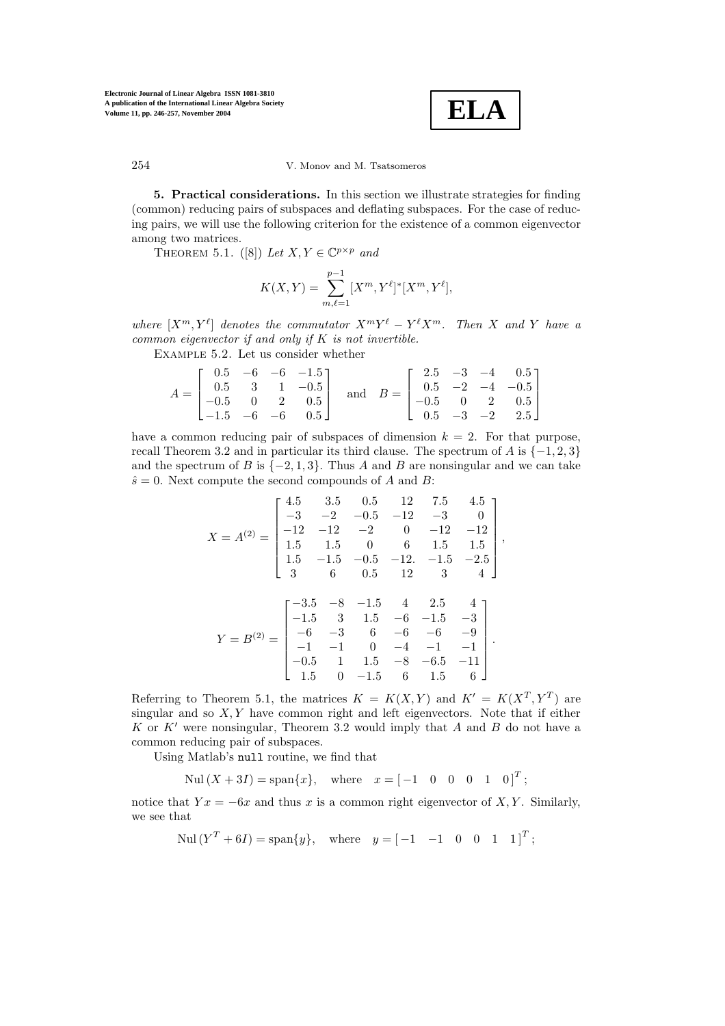

**5. Practical considerations.** In this section we illustrate strategies for finding (common) reducing pairs of subspaces and deflating subspaces. For the case of reducing pairs, we will use the following criterion for the existence of a common eigenvector among two matrices.

THEOREM 5.1. ([8]) Let  $X, Y \in \mathbb{C}^{p \times p}$  and

$$
K(X,Y) = \sum_{m,\ell=1}^{p-1} [X^m, Y^{\ell}]^* [X^m, Y^{\ell}],
$$

where  $[X^m, Y^{\ell}]$  denotes the commutator  $X^mY^{\ell} - Y^{\ell}X^m$ . Then X and Y have a common eigenvector if and only if  $K$  is not invertible.

Example 5.2. Let us consider whether

$$
A = \begin{bmatrix} 0.5 & -6 & -6 & -1.5 \\ 0.5 & 3 & 1 & -0.5 \\ -0.5 & 0 & 2 & 0.5 \\ -1.5 & -6 & -6 & 0.5 \end{bmatrix} \text{ and } B = \begin{bmatrix} 2.5 & -3 & -4 & 0.5 \\ 0.5 & -2 & -4 & -0.5 \\ -0.5 & 0 & 2 & 0.5 \\ 0.5 & -3 & -2 & 2.5 \end{bmatrix}
$$

have a common reducing pair of subspaces of dimension  $k = 2$ . For that purpose, recall Theorem 3.2 and in particular its third clause. The spectrum of A is  $\{-1, 2, 3\}$ and the spectrum of B is  $\{-2, 1, 3\}$ . Thus A and B are nonsingular and we can take  $\hat{s} = 0$ . Next compute the second compounds of A and B:

$$
X = A^{(2)} = \begin{bmatrix} 4.5 & 3.5 & 0.5 & 12 & 7.5 & 4.5 \\ -3 & -2 & -0.5 & -12 & -3 & 0 \\ -12 & -12 & -2 & 0 & -12 & -12 \\ 1.5 & 1.5 & 0 & 6 & 1.5 & 1.5 \\ 1.5 & -1.5 & -0.5 & -12. & -1.5 & -2.5 \\ 3 & 6 & 0.5 & 12 & 3 & 4 \end{bmatrix},
$$

$$
Y = B^{(2)} = \begin{bmatrix} -3.5 & -8 & -1.5 & 4 & 2.5 & 4 \\ -1.5 & 3 & 1.5 & -6 & -1.5 & -3 \\ -6 & -3 & 6 & -6 & -6 & -9 \\ -1 & -1 & 0 & -4 & -1 & -1 \\ -0.5 & 1 & 1.5 & -8 & -6.5 & -11 \\ 1.5 & 0 & -1.5 & 6 & 1.5 & 6 \end{bmatrix}.
$$

Referring to Theorem 5.1, the matrices  $K = K(X, Y)$  and  $K' = K(X^T, Y^T)$  are singular and so  $X, Y$  have common right and left eigenvectors. Note that if either K or  $K'$  were nonsingular, Theorem 3.2 would imply that A and B do not have a common reducing pair of subspaces.

Using Matlab's null routine, we find that

Nul  $(X + 3I) = \text{span}\{x\}$ , where  $x = \begin{bmatrix} -1 & 0 & 0 & 0 & 1 & 0 \end{bmatrix}^T$ ;

notice that  $Yx = -6x$  and thus x is a common right eigenvector of X, Y. Similarly, we see that

Nul  $(Y^T + 6I) = \text{span}\{y\}, \text{ where } y = \begin{bmatrix} -1 & -1 & 0 & 0 & 1 & 1 \end{bmatrix}^T;$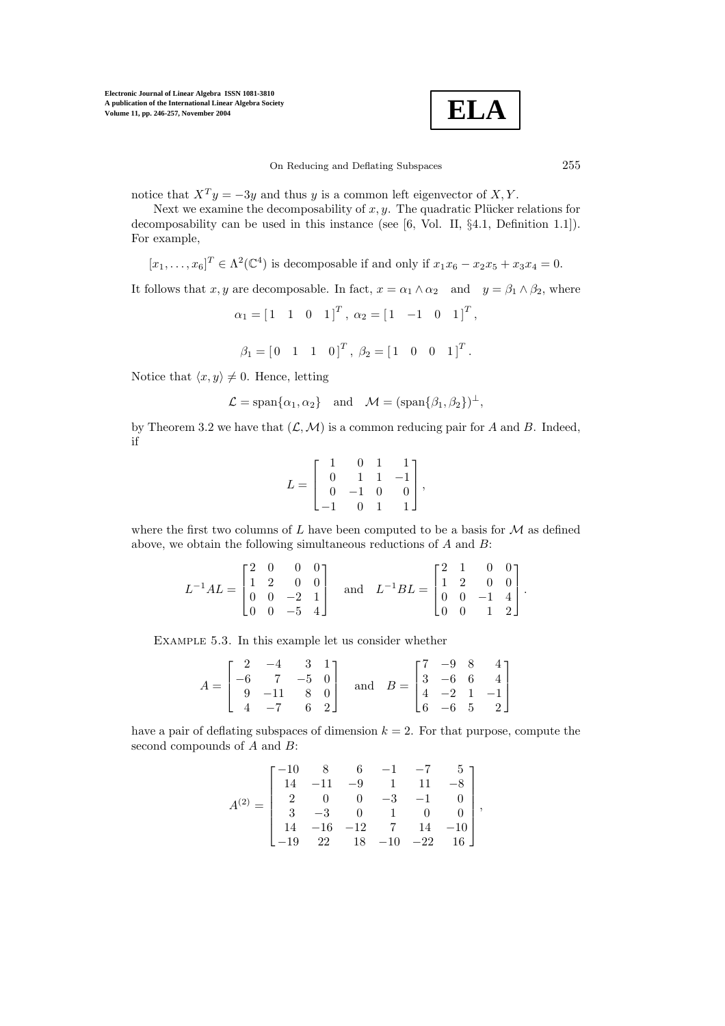

notice that  $X^T y = -3y$  and thus y is a common left eigenvector of  $X, Y$ .

Next we examine the decomposability of  $x, y$ . The quadratic Plücker relations for decomposability can be used in this instance (see [6, Vol. II, §4.1, Definition 1.1]). For example,

$$
[x_1,\ldots,x_6]^T \in \Lambda^2(\mathbb{C}^4)
$$
 is decomposable if and only if  $x_1x_6 - x_2x_5 + x_3x_4 = 0$ .

It follows that x, y are decomposable. In fact,  $x = \alpha_1 \wedge \alpha_2$  and  $y = \beta_1 \wedge \beta_2$ , where

$$
\alpha_1 = \begin{bmatrix} 1 & 1 & 0 & 1 \end{bmatrix}^T, \ \alpha_2 = \begin{bmatrix} 1 & -1 & 0 & 1 \end{bmatrix}^T,
$$

$$
\beta_1 = [0 \ 1 \ 1 \ 0]^T, \ \beta_2 = [1 \ 0 \ 0 \ 1]^T.
$$

Notice that  $\langle x, y \rangle \neq 0$ . Hence, letting

$$
\mathcal{L} = \text{span}\{\alpha_1, \alpha_2\} \text{ and } \mathcal{M} = (\text{span}\{\beta_1, \beta_2\})^{\perp},
$$

by Theorem 3.2 we have that  $(\mathcal{L}, \mathcal{M})$  is a common reducing pair for A and B. Indeed, if

$$
L = \begin{bmatrix} 1 & 0 & 1 & 1 \\ 0 & 1 & 1 & -1 \\ 0 & -1 & 0 & 0 \\ -1 & 0 & 1 & 1 \end{bmatrix},
$$

where the first two columns of L have been computed to be a basis for  $M$  as defined above, we obtain the following simultaneous reductions of A and B:

$$
L^{-1}AL = \begin{bmatrix} 2 & 0 & 0 & 0 \\ 1 & 2 & 0 & 0 \\ 0 & 0 & -2 & 1 \\ 0 & 0 & -5 & 4 \end{bmatrix} \quad \text{and} \quad L^{-1}BL = \begin{bmatrix} 2 & 1 & 0 & 0 \\ 1 & 2 & 0 & 0 \\ 0 & 0 & -1 & 4 \\ 0 & 0 & 1 & 2 \end{bmatrix}.
$$

Example 5.3. In this example let us consider whether

$$
A = \begin{bmatrix} 2 & -4 & 3 & 1 \\ -6 & 7 & -5 & 0 \\ 9 & -11 & 8 & 0 \\ 4 & -7 & 6 & 2 \end{bmatrix} \text{ and } B = \begin{bmatrix} 7 & -9 & 8 & 4 \\ 3 & -6 & 6 & 4 \\ 4 & -2 & 1 & -1 \\ 6 & -6 & 5 & 2 \end{bmatrix}
$$

have a pair of deflating subspaces of dimension  $k = 2$ . For that purpose, compute the second compounds of  $A$  and  $B$ :

$$
A^{(2)} = \begin{bmatrix} -10 & 8 & 6 & -1 & -7 & 5 \\ 14 & -11 & -9 & 1 & 11 & -8 \\ 2 & 0 & 0 & -3 & -1 & 0 \\ 3 & -3 & 0 & 1 & 0 & 0 \\ 14 & -16 & -12 & 7 & 14 & -10 \\ -19 & 22 & 18 & -10 & -22 & 16 \end{bmatrix},
$$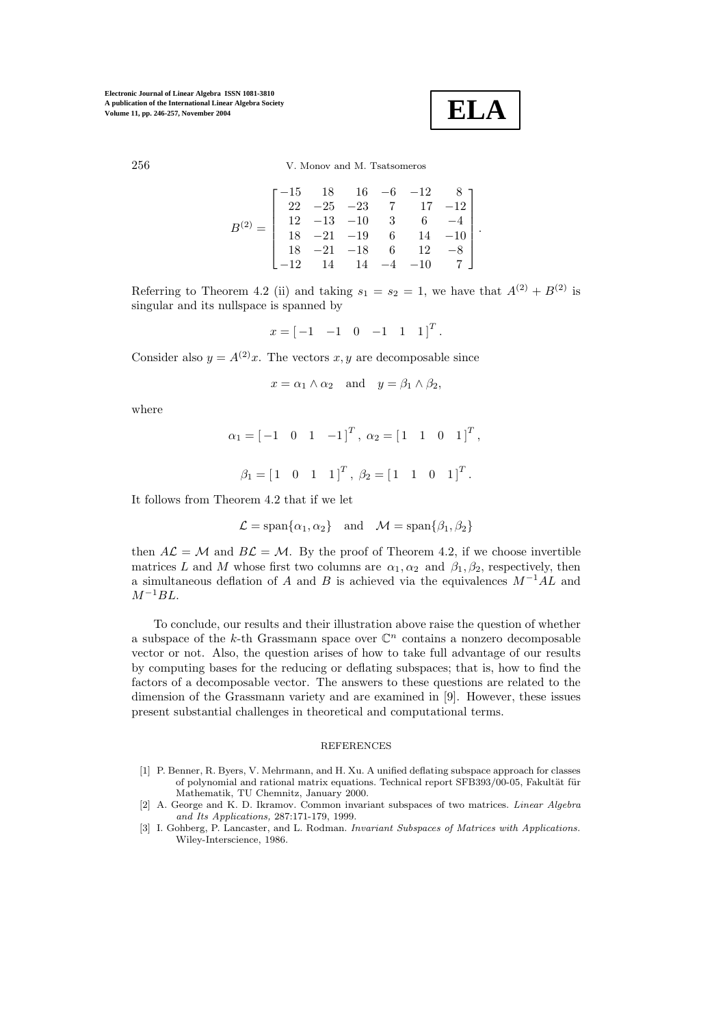**ELA**

$$
B^{(2)} = \begin{bmatrix} -15 & 18 & 16 & -6 & -12 & 8 \\ 22 & -25 & -23 & 7 & 17 & -12 \\ 12 & -13 & -10 & 3 & 6 & -4 \\ 18 & -21 & -19 & 6 & 14 & -10 \\ 18 & -21 & -18 & 6 & 12 & -8 \\ -12 & 14 & 14 & -4 & -10 & 7 \end{bmatrix}.
$$

Referring to Theorem 4.2 (ii) and taking  $s_1 = s_2 = 1$ , we have that  $A^{(2)} + B^{(2)}$  is singular and its nullspace is spanned by

$$
x = [-1 \quad -1 \quad 0 \quad -1 \quad 1 \quad 1]^T.
$$

Consider also  $y = A^{(2)}x$ . The vectors x, y are decomposable since

$$
x = \alpha_1 \wedge \alpha_2
$$
 and  $y = \beta_1 \wedge \beta_2$ ,

where

$$
\alpha_1 = [-1 \quad 0 \quad 1 \quad -1]^T, \ \alpha_2 = [1 \quad 1 \quad 0 \quad 1]^T,
$$

$$
\beta_1 = [1 \quad 0 \quad 1 \quad 1]^T, \ \beta_2 = [1 \quad 1 \quad 0 \quad 1]^T.
$$

It follows from Theorem 4.2 that if we let

$$
\mathcal{L} = \text{span}\{\alpha_1, \alpha_2\} \quad \text{and} \quad \mathcal{M} = \text{span}\{\beta_1, \beta_2\}
$$

then  $A\mathcal{L} = \mathcal{M}$  and  $B\mathcal{L} = \mathcal{M}$ . By the proof of Theorem 4.2, if we choose invertible matrices L and M whose first two columns are  $\alpha_1, \alpha_2$  and  $\beta_1, \beta_2$ , respectively, then a simultaneous deflation of A and B is achieved via the equivalences  $M^{-1}AL$  and  $M^{-1}BL$ .

To conclude, our results and their illustration above raise the question of whether a subspace of the k-th Grassmann space over  $\mathbb{C}^n$  contains a nonzero decomposable vector or not. Also, the question arises of how to take full advantage of our results by computing bases for the reducing or deflating subspaces; that is, how to find the factors of a decomposable vector. The answers to these questions are related to the dimension of the Grassmann variety and are examined in [9]. However, these issues present substantial challenges in theoretical and computational terms.

## REFERENCES

- [1] P. Benner, R. Byers, V. Mehrmann, and H. Xu. A unified deflatingsubspace approach for classes of polynomial and rational matrix equations. Technical report SFB393/00-05, Fakultät für Mathematik, TU Chemnitz, January 2000.
- [2] A. George and K. D. Ikramov. Common invariant subspaces of two matrices. *Linear Algebra and Its Applications,* 287:171-179, 1999.
- [3] I. Gohberg, P. Lancaster, and L. Rodman. *Invariant Subspaces of Matrices with Applications*. Wiley-Interscience, 1986.